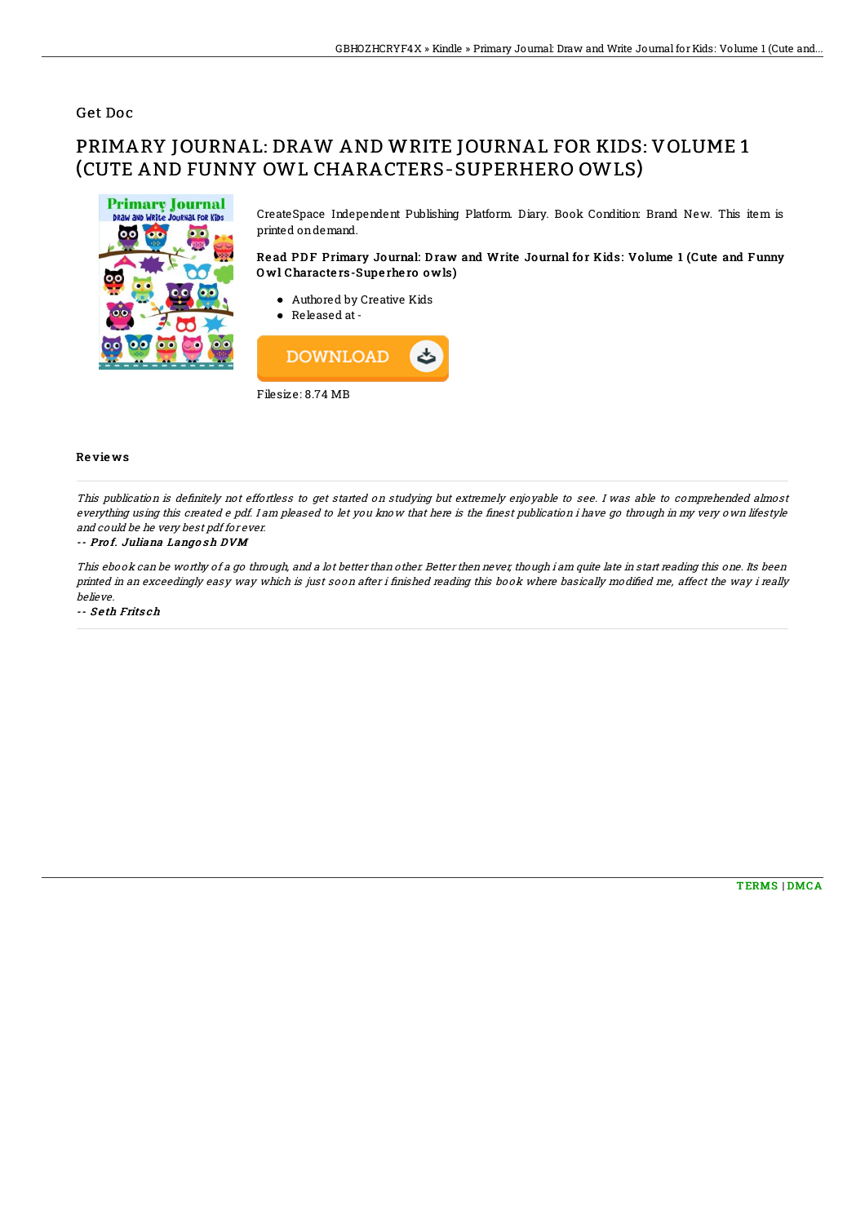### Get Doc

# PRIMARY JOURNAL: DRAW AND WRITE JOURNAL FOR KIDS: VOLUME 1 (CUTE AND FUNNY OWL CHARACTERS-SUPERHERO OWLS)



CreateSpace Independent Publishing Platform. Diary. Book Condition: Brand New. This item is printed ondemand.

#### Read PDF Primary Journal: Draw and Write Journal for Kids: Volume 1 (Cute and Funny O wl Characte rs-Supe rhe ro o wls)

- Authored by Creative Kids
- Released at -



#### Re vie ws

This publication is definitely not effortless to get started on studying but extremely enjoyable to see. I was able to comprehended almost everything using this created e pdf. I am pleased to let you know that here is the finest publication i have go through in my very own lifestyle and could be he very best pdf for ever.

#### -- Prof. Juliana Langosh DVM

This ebook can be worthy of <sup>a</sup> go through, and <sup>a</sup> lot better than other. Better then never, though i am quite late in start reading this one. Its been printed in an exceedingly easy way which is just soon after i finished reading this book where basically modified me, affect the way i really believe.

-- Seth Fritsch